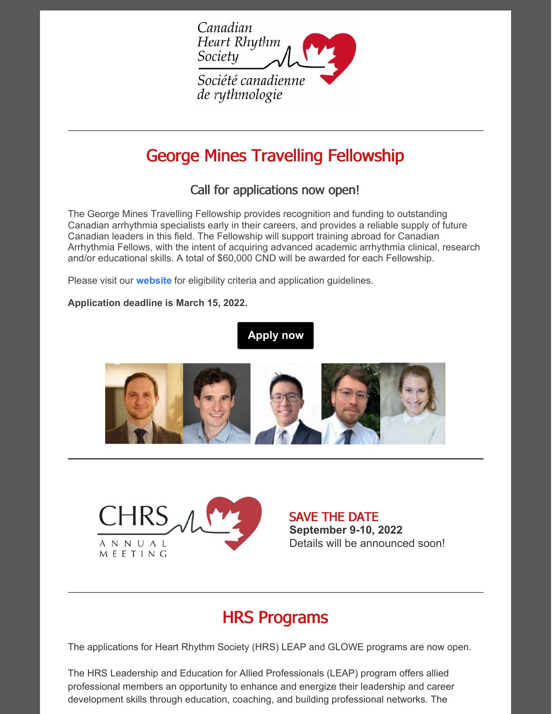

# George Mines Travelling Fellowship

### Call for applications now open!

The George Mines Travelling Fellowship provides recognition and funding to outstanding Canadian arrhythmia specialists early in their careers, and provides a reliable supply of future Canadian leaders in this field. The Fellowship will support training abroad for Canadian Arrhythmia Fellows, with the intent of acquiring advanced academic arrhythmia clinical, research and/or educational skills. A total of \$60,000 CND will be awarded for each Fellowship.

Please visit our **[website](https://www.chrsonline.ca/about-us/george-mines-travelling-fellowship)** for eligibility criteria and application guidelines.

#### **Application deadline is March 15, 2022.**

### **[Apply](https://www.chrsonline.ca/about-us/george-mines-travelling-fellowship) now**





SAVE THE DATE **September 9-10, 2022** Details will be announced soon!

## HRS Programs

The applications for Heart Rhythm Society (HRS) LEAP and GLOWE programs are now open.

The HRS Leadership and Education for Allied Professionals (LEAP) program offers allied professional members an opportunity to enhance and energize their leadership and career development skills through education, coaching, and building professional networks. The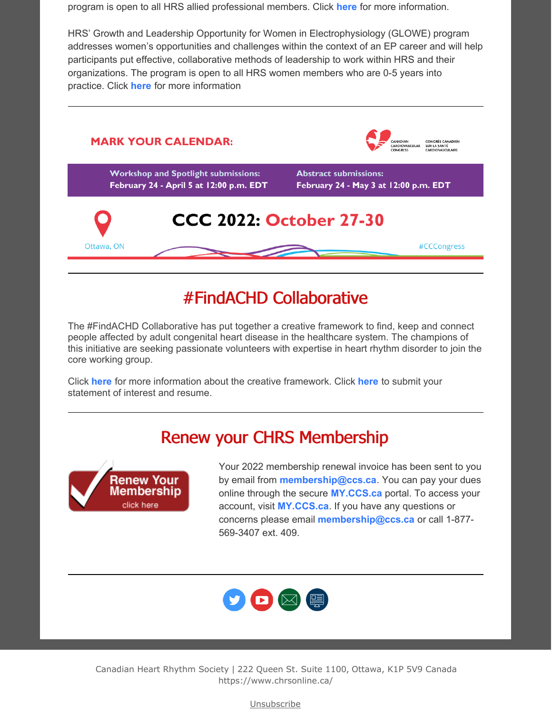program is open to all HRS allied professional members. Click **[here](https://www.hrsonline.org/membership/member-benefits/LEAP)** for more information.

HRS' Growth and Leadership Opportunity for Women in Electrophysiology (GLOWE) program addresses women's opportunities and challenges within the context of an EP career and will help participants put effective, collaborative methods of leadership to work within HRS and their organizations. The program is open to all HRS women members who are 0-5 years into practice. Click **[here](https://www.hrsonline.org/membership/member-benefits/GLOWE#:~:text=HRS)** for more information



## #FindACHD Collaborative

The #FindACHD Collaborative has put together a creative framework to find, keep and connect people affected by adult congenital heart disease in the healthcare system. The champions of this initiative are seeking passionate volunteers with expertise in heart rhythm disorder to join the core working group.

Click **[here](https://files.constantcontact.com/606e83b6001/2ff3cc7f-2a19-4629-b3d4-1e37be6246e6.pdf?rdr=true)** for more information about the creative framework. Click **[here](mailto:cindy@heartlife.ca)** to submit your statement of interest and resume.

## Renew your CHRS Membership



Your 2022 membership renewal invoice has been sent to you by email from **[membership@ccs.ca](mailto:membership@ccs.ca)**. You can pay your dues online through the secure **[MY.CCS.ca](https://my.ccs.ca/ccs/ccsmembers)** portal. To access your account, visit **[MY.CCS.ca](https://my.ccs.ca/ccs/ccsmembers)**. If you have any questions or concerns please email **[membership@ccs.ca](mailto:membership@ccs.ca)** or call 1-877- 569-3407 ext. 409.



Canadian Heart Rhythm Society | 222 Queen St. Suite 1100, Ottawa, K1P 5V9 Canada https://www.chrsonline.ca/

Unsubscribe